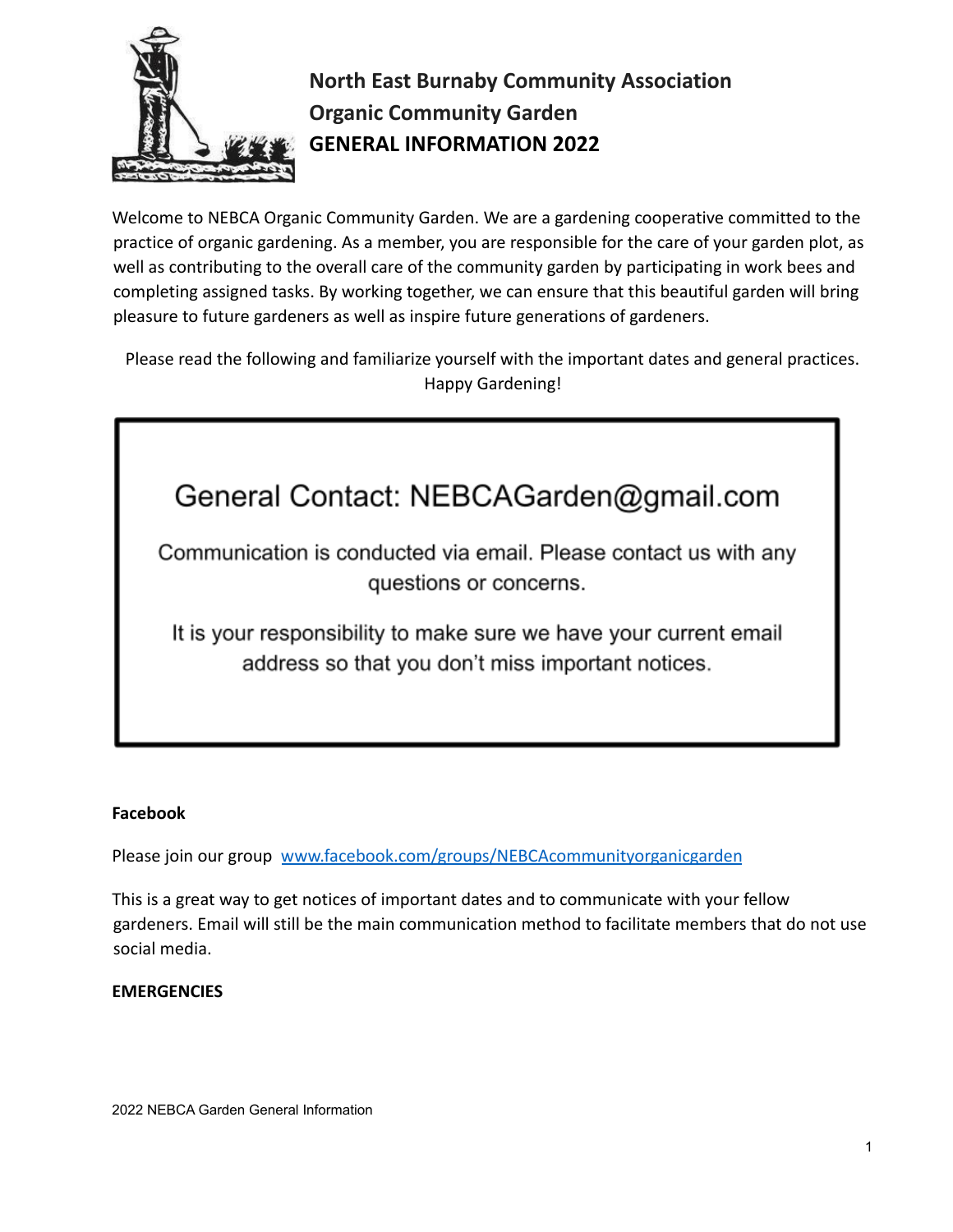

# **North East Burnaby Community Association Organic Community Garden GENERAL INFORMATION 2022**

Welcome to NEBCA Organic Community Garden. We are a gardening cooperative committed to the practice of organic gardening. As a member, you are responsible for the care of your garden plot, as well as contributing to the overall care of the community garden by participating in work bees and completing assigned tasks. By working together, we can ensure that this beautiful garden will bring pleasure to future gardeners as well as inspire future generations of gardeners.

Please read the following and familiarize yourself with the important dates and general practices. Happy Gardening!

# General Contact: NEBCAGarden@gmail.com

Communication is conducted via email. Please contact us with any questions or concerns.

It is your responsibility to make sure we have your current email address so that you don't miss important notices.

# **Facebook**

Please join our group [www.facebook.com/groups/NEBCAcommunityorganicgarden](http://www.facebook.com/groups/NEBCAcommunityorganicgarde)

This is a great way to get notices of important dates and to communicate with your fellow gardeners. Email will still be the main communication method to facilitate members that do not use social media.

# **EMERGENCIES**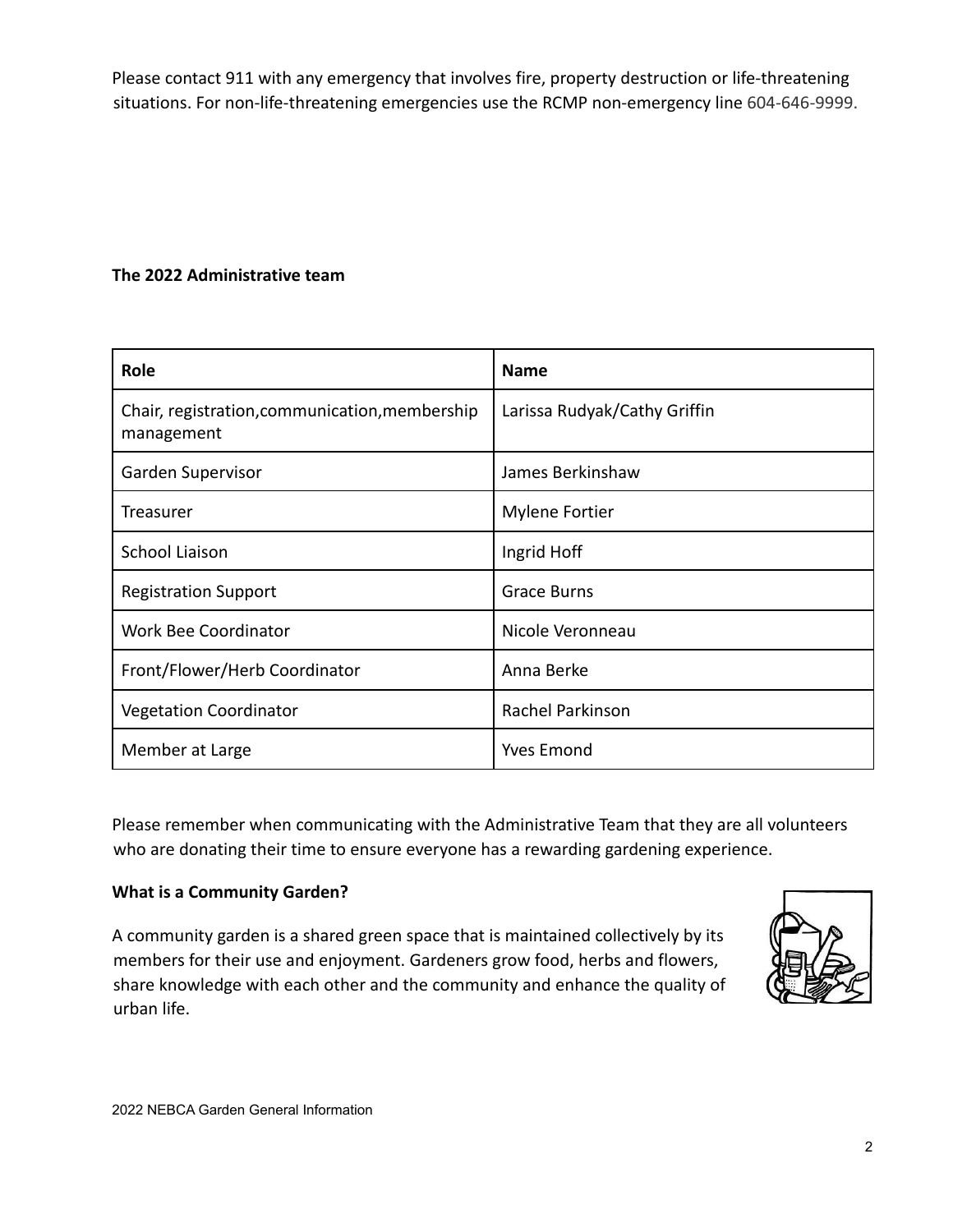Please contact 911 with any emergency that involves fire, property destruction or life-threatening situations. For non-life-threatening emergencies use the RCMP non-emergency line 604-646-9999.

# **The 2022 Administrative team**

| Role                                                         | <b>Name</b>                  |
|--------------------------------------------------------------|------------------------------|
| Chair, registration, communication, membership<br>management | Larissa Rudyak/Cathy Griffin |
| Garden Supervisor                                            | James Berkinshaw             |
| Treasurer                                                    | <b>Mylene Fortier</b>        |
| <b>School Liaison</b>                                        | Ingrid Hoff                  |
| <b>Registration Support</b>                                  | <b>Grace Burns</b>           |
| <b>Work Bee Coordinator</b>                                  | Nicole Veronneau             |
| Front/Flower/Herb Coordinator                                | Anna Berke                   |
| <b>Vegetation Coordinator</b>                                | <b>Rachel Parkinson</b>      |
| Member at Large                                              | <b>Yves Emond</b>            |

Please remember when communicating with the Administrative Team that they are all volunteers who are donating their time to ensure everyone has a rewarding gardening experience.

# **What is a Community Garden?**

A community garden is a shared green space that is maintained collectively by its members for their use and enjoyment. Gardeners grow food, herbs and flowers, share knowledge with each other and the community and enhance the quality of urban life.

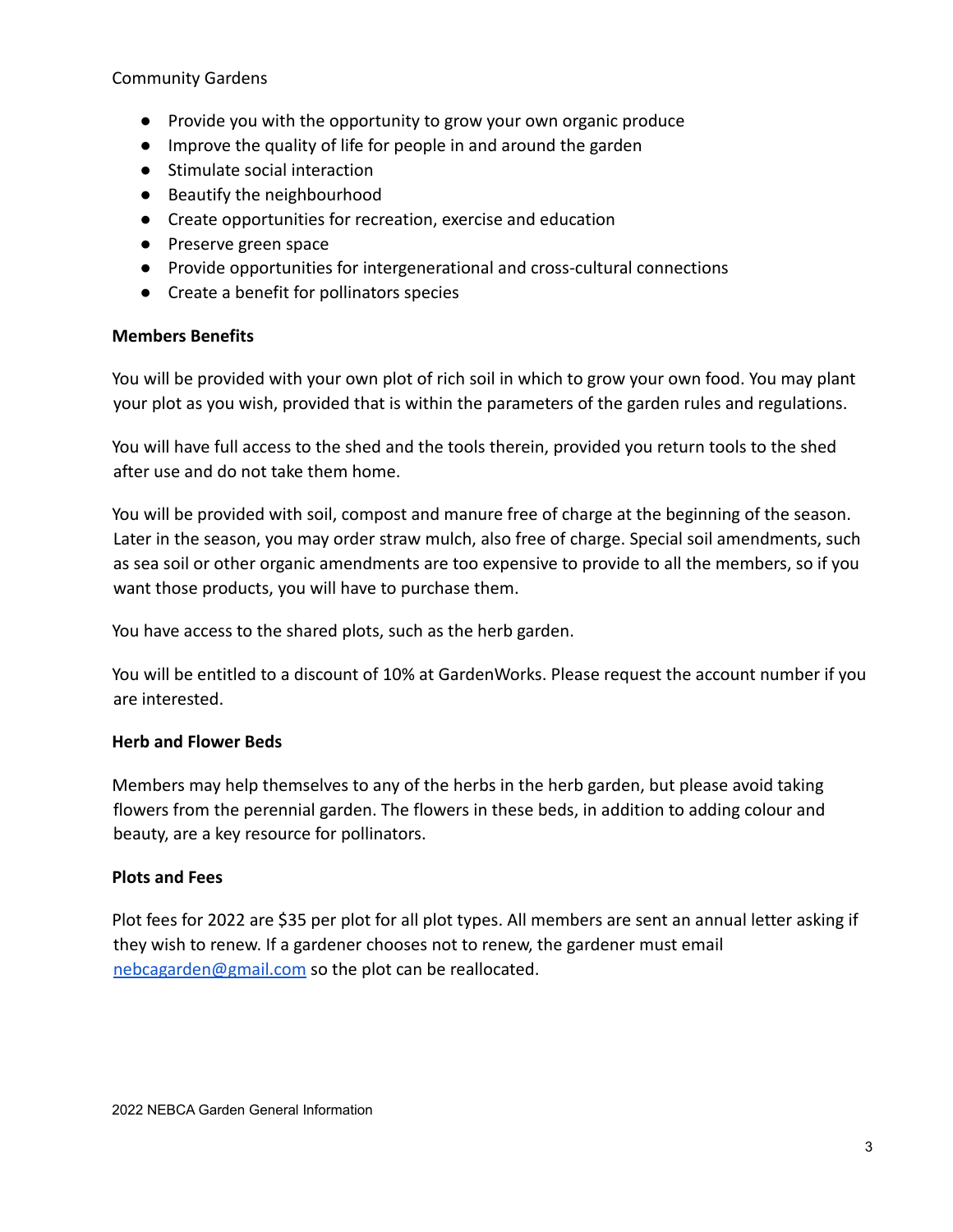#### Community Gardens

- Provide you with the opportunity to grow your own organic produce
- Improve the quality of life for people in and around the garden
- Stimulate social interaction
- Beautify the neighbourhood
- Create opportunities for recreation, exercise and education
- Preserve green space
- Provide opportunities for intergenerational and cross-cultural connections
- Create a benefit for pollinators species

#### **Members Benefits**

You will be provided with your own plot of rich soil in which to grow your own food. You may plant your plot as you wish, provided that is within the parameters of the garden rules and regulations.

You will have full access to the shed and the tools therein, provided you return tools to the shed after use and do not take them home.

You will be provided with soil, compost and manure free of charge at the beginning of the season. Later in the season, you may order straw mulch, also free of charge. Special soil amendments, such as sea soil or other organic amendments are too expensive to provide to all the members, so if you want those products, you will have to purchase them.

You have access to the shared plots, such as the herb garden.

You will be entitled to a discount of 10% at GardenWorks. Please request the account number if you are interested.

# **Herb and Flower Beds**

Members may help themselves to any of the herbs in the herb garden, but please avoid taking flowers from the perennial garden. The flowers in these beds, in addition to adding colour and beauty, are a key resource for pollinators.

# **Plots and Fees**

Plot fees for 2022 are \$35 per plot for all plot types. All members are sent an annual letter asking if they wish to renew. If a gardener chooses not to renew, the gardener must email [nebcagarden@gmail.com](mailto:nebcagarden@gmail.com) so the plot can be reallocated.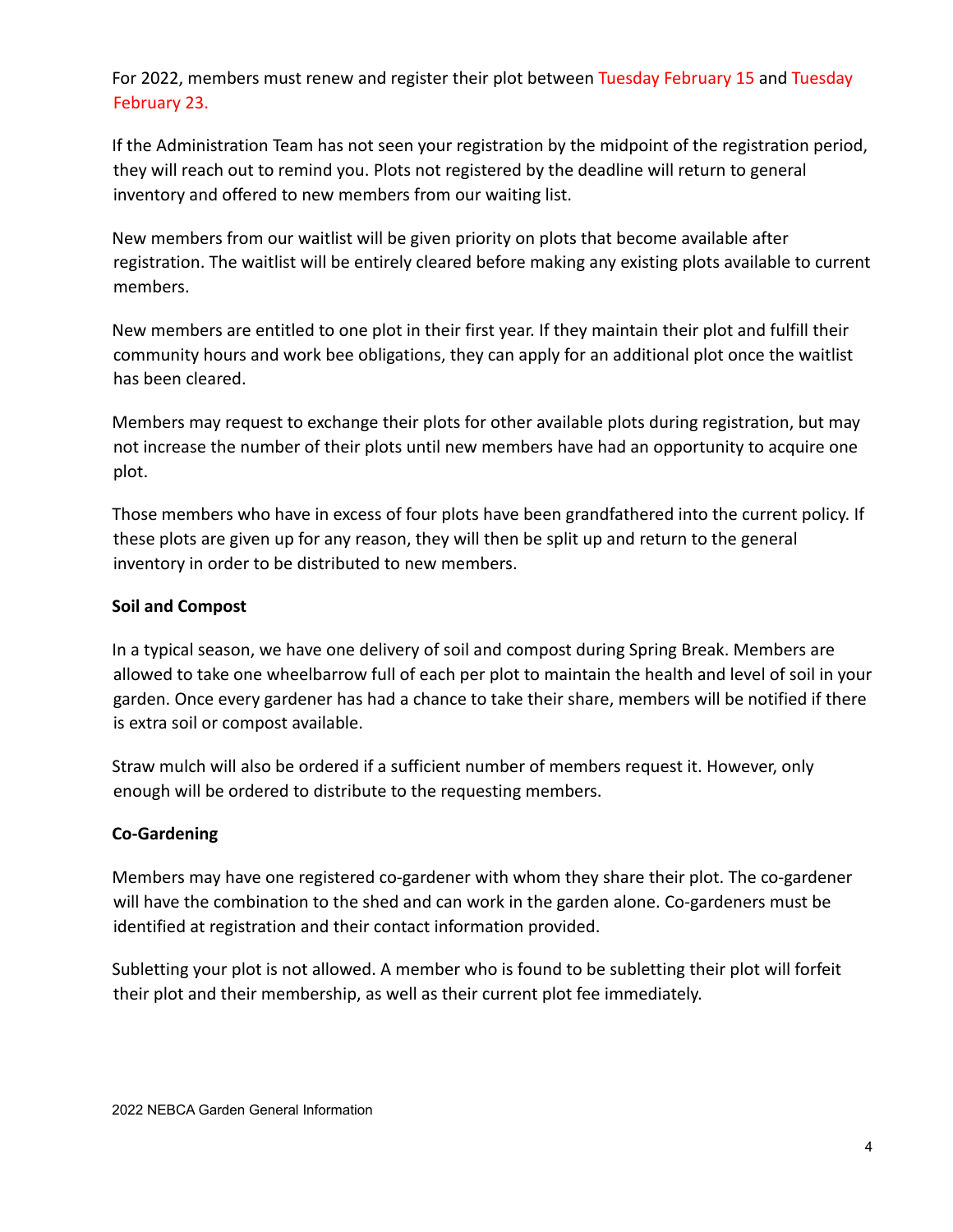For 2022, members must renew and register their plot between Tuesday February 15 and Tuesday February 23.

If the Administration Team has not seen your registration by the midpoint of the registration period, they will reach out to remind you. Plots not registered by the deadline will return to general inventory and offered to new members from our waiting list.

New members from our waitlist will be given priority on plots that become available after registration. The waitlist will be entirely cleared before making any existing plots available to current members.

New members are entitled to one plot in their first year. If they maintain their plot and fulfill their community hours and work bee obligations, they can apply for an additional plot once the waitlist has been cleared.

Members may request to exchange their plots for other available plots during registration, but may not increase the number of their plots until new members have had an opportunity to acquire one plot.

Those members who have in excess of four plots have been grandfathered into the current policy. If these plots are given up for any reason, they will then be split up and return to the general inventory in order to be distributed to new members.

#### **Soil and Compost**

In a typical season, we have one delivery of soil and compost during Spring Break. Members are allowed to take one wheelbarrow full of each per plot to maintain the health and level of soil in your garden. Once every gardener has had a chance to take their share, members will be notified if there is extra soil or compost available.

Straw mulch will also be ordered if a sufficient number of members request it. However, only enough will be ordered to distribute to the requesting members.

# **Co-Gardening**

Members may have one registered co-gardener with whom they share their plot. The co-gardener will have the combination to the shed and can work in the garden alone. Co-gardeners must be identified at registration and their contact information provided.

Subletting your plot is not allowed. A member who is found to be subletting their plot will forfeit their plot and their membership, as well as their current plot fee immediately.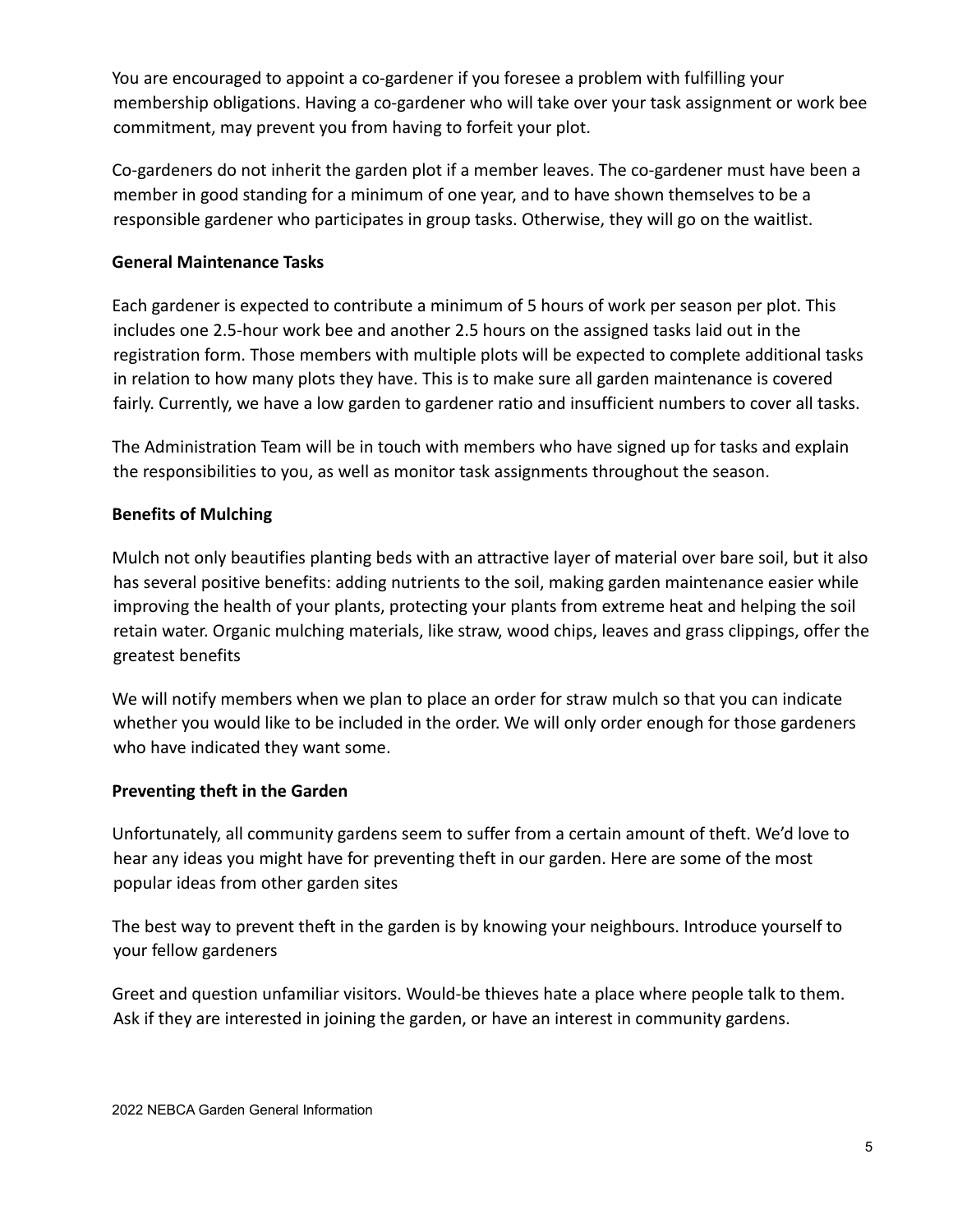You are encouraged to appoint a co-gardener if you foresee a problem with fulfilling your membership obligations. Having a co-gardener who will take over your task assignment or work bee commitment, may prevent you from having to forfeit your plot.

Co-gardeners do not inherit the garden plot if a member leaves. The co-gardener must have been a member in good standing for a minimum of one year, and to have shown themselves to be a responsible gardener who participates in group tasks. Otherwise, they will go on the waitlist.

#### **General Maintenance Tasks**

Each gardener is expected to contribute a minimum of 5 hours of work per season per plot. This includes one 2.5-hour work bee and another 2.5 hours on the assigned tasks laid out in the registration form. Those members with multiple plots will be expected to complete additional tasks in relation to how many plots they have. This is to make sure all garden maintenance is covered fairly. Currently, we have a low garden to gardener ratio and insufficient numbers to cover all tasks.

The Administration Team will be in touch with members who have signed up for tasks and explain the responsibilities to you, as well as monitor task assignments throughout the season.

# **Benefits of Mulching**

Mulch not only beautifies planting beds with an attractive layer of material over bare soil, but it also has several positive benefits: adding nutrients to the soil, making garden maintenance easier while improving the health of your plants, protecting your plants from extreme heat and helping the soil retain water. Organic mulching materials, like straw, wood chips, leaves and grass clippings, offer the greatest benefits

We will notify members when we plan to place an order for straw mulch so that you can indicate whether you would like to be included in the order. We will only order enough for those gardeners who have indicated they want some.

# **Preventing theft in the Garden**

Unfortunately, all community gardens seem to suffer from a certain amount of theft. We'd love to hear any ideas you might have for preventing theft in our garden. Here are some of the most popular ideas from other garden sites

The best way to prevent theft in the garden is by knowing your neighbours. Introduce yourself to your fellow gardeners

Greet and question unfamiliar visitors. Would-be thieves hate a place where people talk to them. Ask if they are interested in joining the garden, or have an interest in community gardens.